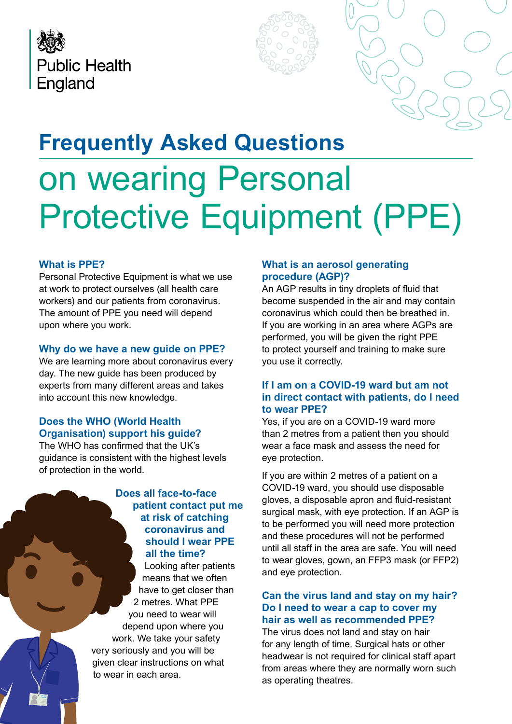



# **Frequently Asked Questions** on wearing Personal Protective Equipment (PPE)

## **What is PPE?**

Personal Protective Equipment is what we use at work to protect ourselves (all health care workers) and our patients from coronavirus. The amount of PPE you need will depend upon where you work.

## **Why do we have a new guide on PPE?**

We are learning more about coronavirus every day. The new guide has been produced by experts from many different areas and takes into account this new knowledge.

# **Does the WHO (World Health Organisation) support his guide?**

The WHO has confirmed that the UK's guidance is consistent with the highest levels of protection in the world.

## **Does all face-to-face patient contact put me at risk of catching coronavirus and should I wear PPE all the time?**

Looking after patients means that we often have to get closer than 2 metres. What PPE you need to wear will depend upon where you work. We take your safety very seriously and you will be given clear instructions on what to wear in each area.

## **What is an aerosol generating procedure (AGP)?**

An AGP results in tiny droplets of fluid that become suspended in the air and may contain coronavirus which could then be breathed in. If you are working in an area where AGPs are performed, you will be given the right PPE to protect yourself and training to make sure you use it correctly.

## **If I am on a COVID-19 ward but am not in direct contact with patients, do I need to wear PPE?**

Yes, if you are on a COVID-19 ward more than 2 metres from a patient then you should wear a face mask and assess the need for eye protection.

If you are within 2 metres of a patient on a COVID-19 ward, you should use disposable gloves, a disposable apron and fluid-resistant surgical mask, with eye protection. If an AGP is to be performed you will need more protection and these procedures will not be performed until all staff in the area are safe. You will need to wear gloves, gown, an FFP3 mask (or FFP2) and eye protection.

## **Can the virus land and stay on my hair? Do I need to wear a cap to cover my hair as well as recommended PPE?**

The virus does not land and stay on hair for any length of time. Surgical hats or other headwear is not required for clinical staff apart from areas where they are normally worn such as operating theatres.